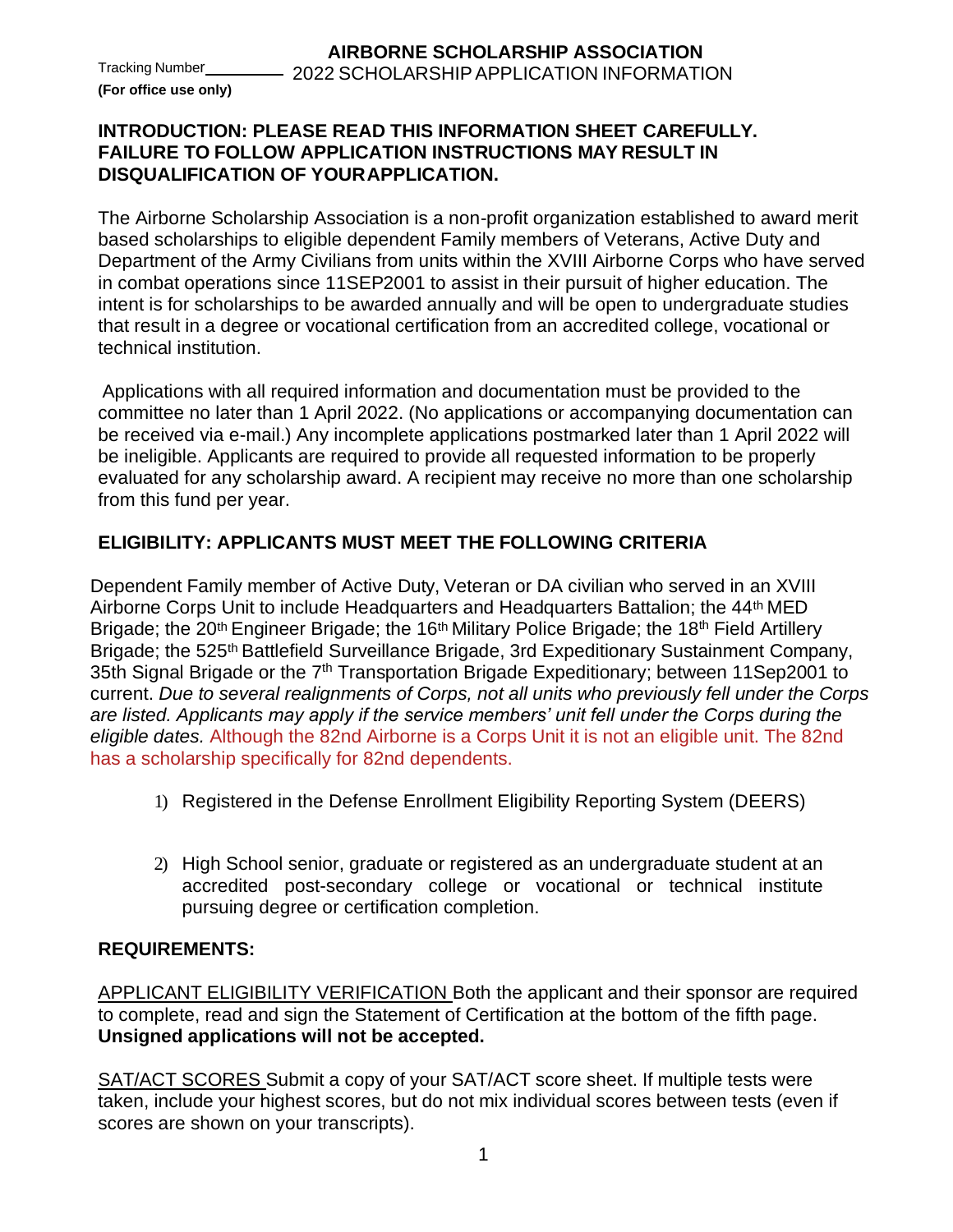**(For office use only)**

### **INTRODUCTION: PLEASE READ THIS INFORMATION SHEET CAREFULLY. FAILURE TO FOLLOW APPLICATION INSTRUCTIONS MAY RESULT IN DISQUALIFICATION OF YOURAPPLICATION.**

The Airborne Scholarship Association is a non-profit organization established to award merit based scholarships to eligible dependent Family members of Veterans, Active Duty and Department of the Army Civilians from units within the XVIII Airborne Corps who have served in combat operations since 11SEP2001 to assist in their pursuit of higher education. The intent is for scholarships to be awarded annually and will be open to undergraduate studies that result in a degree or vocational certification from an accredited college, vocational or technical institution.

Applications with all required information and documentation must be provided to the committee no later than 1 April 2022. (No applications or accompanying documentation can be received via e-mail.) Any incomplete applications postmarked later than 1 April 2022 will be ineligible. Applicants are required to provide all requested information to be properly evaluated for any scholarship award. A recipient may receive no more than one scholarship from this fund per year.

## **ELIGIBILITY: APPLICANTS MUST MEET THE FOLLOWING CRITERIA**

Dependent Family member of Active Duty, Veteran or DA civilian who served in an XVIII Airborne Corps Unit to include Headquarters and Headquarters Battalion; the 44<sup>th</sup> MED Brigade; the 20<sup>th</sup> Engineer Brigade; the 16<sup>th</sup> Military Police Brigade; the 18<sup>th</sup> Field Artillery Brigade; the 525<sup>th</sup> Battlefield Surveillance Brigade, 3rd Expeditionary Sustainment Company, 35th Signal Brigade or the 7<sup>th</sup> Transportation Brigade Expeditionary; between 11Sep2001 to current. *Due to several realignments of Corps, not all units who previously fell under the Corps are listed. Applicants may apply if the service members' unit fell under the Corps during the eligible dates.* Although the 82nd Airborne is a Corps Unit it is not an eligible unit. The 82nd has a scholarship specifically for 82nd dependents.

- 1) Registered in the Defense Enrollment Eligibility Reporting System (DEERS)
- 2) High School senior, graduate or registered as an undergraduate student at an accredited post-secondary college or vocational or technical institute pursuing degree or certification completion.

### **REQUIREMENTS:**

APPLICANT ELIGIBILITY VERIFICATION Both the applicant and their sponsor are required to complete, read and sign the Statement of Certification at the bottom of the fifth page. **Unsigned applications will not be accepted.**

SAT/ACT SCORES Submit a copy of your SAT/ACT score sheet. If multiple tests were taken, include your highest scores, but do not mix individual scores between tests (even if scores are shown on your transcripts).